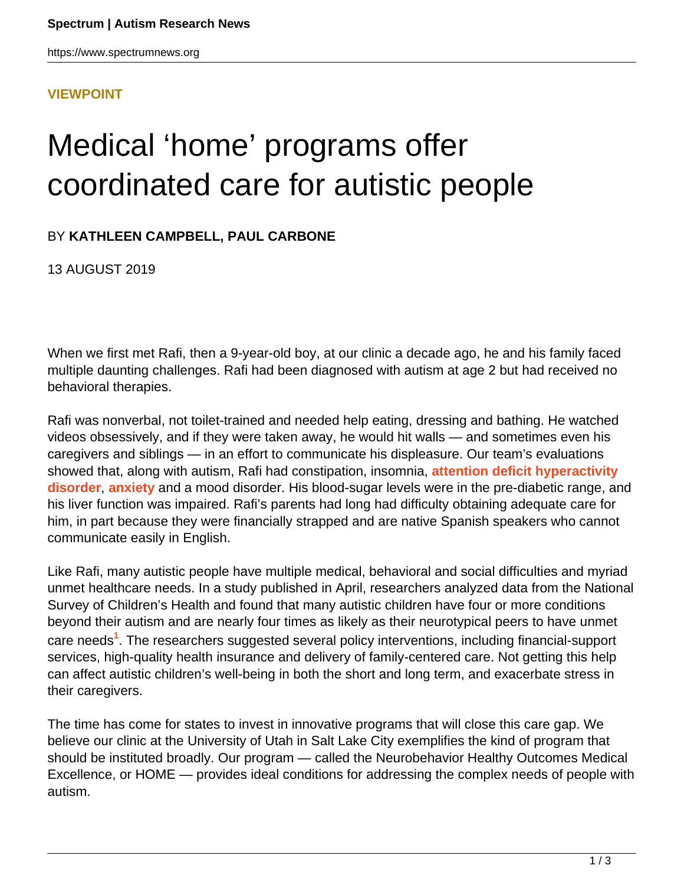#### **[VIEWPOINT](HTTPS://WWW.SPECTRUMNEWS.ORG/OPINION/VIEWPOINT/)**

# Medical 'home' programs offer coordinated care for autistic people

### BY **KATHLEEN CAMPBELL, PAUL CARBONE**

13 AUGUST 2019

When we first met Rafi, then a 9-year-old boy, at our clinic a decade ago, he and his family faced multiple daunting challenges. Rafi had been diagnosed with autism at age 2 but had received no behavioral therapies.

Rafi was nonverbal, not toilet-trained and needed help eating, dressing and bathing. He watched videos obsessively, and if they were taken away, he would hit walls — and sometimes even his caregivers and siblings — in an effort to communicate his displeasure. Our team's evaluations showed that, along with autism, Rafi had constipation, insomnia, **[attention deficit hyperactivity](https://www.spectrumnews.org/features/deep-dive/decoding-overlap-autism-adhd/) [disorder](https://www.spectrumnews.org/features/deep-dive/decoding-overlap-autism-adhd/)**, **[anxiety](https://www.spectrumnews.org/features/deep-dive/unmasking-anxiety-autism/)** and a mood disorder. His blood-sugar levels were in the pre-diabetic range, and his liver function was impaired. Rafi's parents had long had difficulty obtaining adequate care for him, in part because they were financially strapped and are native Spanish speakers who cannot communicate easily in English.

Like Rafi, many autistic people have multiple medical, behavioral and social difficulties and myriad unmet healthcare needs. In a study published in April, researchers analyzed data from the National Survey of Children's Health and found that many autistic children have four or more conditions beyond their autism and are nearly four times as likely as their neurotypical peers to have unmet care needs**<sup>1</sup>** . The researchers suggested several policy interventions, including financial-support services, high-quality health insurance and delivery of family-centered care. Not getting this help can affect autistic children's well-being in both the short and long term, and exacerbate stress in their caregivers.

The time has come for states to invest in innovative programs that will close this care gap. We believe our clinic at the University of Utah in Salt Lake City exemplifies the kind of program that should be instituted broadly. Our program — called the Neurobehavior Healthy Outcomes Medical Excellence, or HOME — provides ideal conditions for addressing the complex needs of people with autism.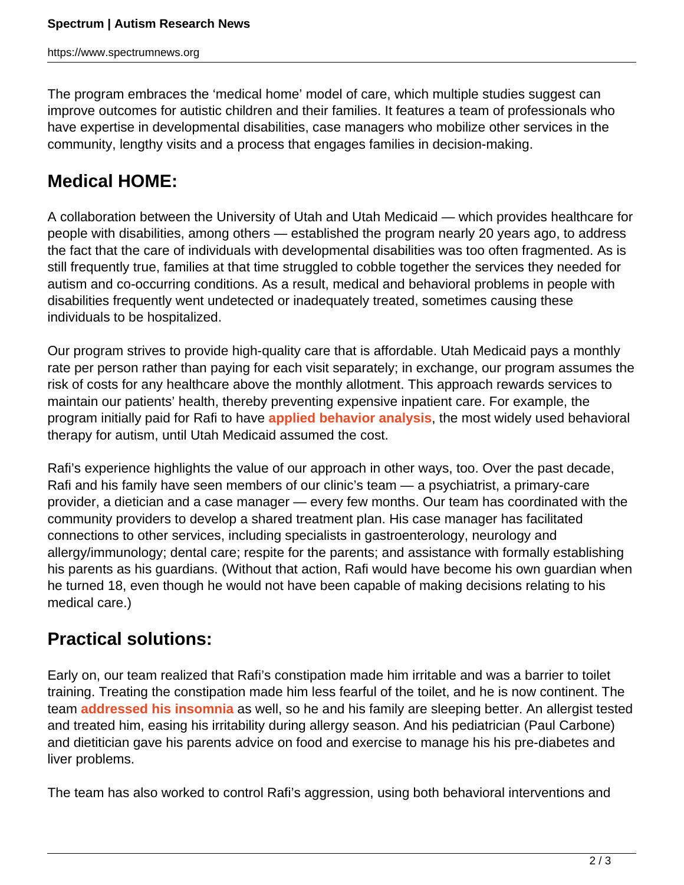The program embraces the 'medical home' model of care, which multiple studies suggest can improve outcomes for autistic children and their families. It features a team of professionals who have expertise in developmental disabilities, case managers who mobilize other services in the community, lengthy visits and a process that engages families in decision-making.

## **Medical HOME:**

A collaboration between the University of Utah and Utah Medicaid — which provides healthcare for people with disabilities, among others — established the program nearly 20 years ago, to address the fact that the care of individuals with developmental disabilities was too often fragmented. As is still frequently true, families at that time struggled to cobble together the services they needed for autism and co-occurring conditions. As a result, medical and behavioral problems in people with disabilities frequently went undetected or inadequately treated, sometimes causing these individuals to be hospitalized.

Our program strives to provide high-quality care that is affordable. Utah Medicaid pays a monthly rate per person rather than paying for each visit separately; in exchange, our program assumes the risk of costs for any healthcare above the monthly allotment. This approach rewards services to maintain our patients' health, thereby preventing expensive inpatient care. For example, the program initially paid for Rafi to have **[applied behavior analysis](https://www.spectrumnews.org/features/deep-dive/controversy-autisms-common-therapy/)**, the most widely used behavioral therapy for autism, until Utah Medicaid assumed the cost.

Rafi's experience highlights the value of our approach in other ways, too. Over the past decade, Rafi and his family have seen members of our clinic's team — a psychiatrist, a primary-care provider, a dietician and a case manager — every few months. Our team has coordinated with the community providers to develop a shared treatment plan. His case manager has facilitated connections to other services, including specialists in gastroenterology, neurology and allergy/immunology; dental care; respite for the parents; and assistance with formally establishing his parents as his guardians. (Without that action, Rafi would have become his own guardian when he turned 18, even though he would not have been capable of making decisions relating to his medical care.)

## **Practical solutions:**

Early on, our team realized that Rafi's constipation made him irritable and was a barrier to toilet training. Treating the constipation made him less fearful of the toilet, and he is now continent. The team **[addressed his insomnia](https://www.spectrumnews.org/features/deep-dive/get-children-autism-sleep/)** as well, so he and his family are sleeping better. An allergist tested and treated him, easing his irritability during allergy season. And his pediatrician (Paul Carbone) and dietitician gave his parents advice on food and exercise to manage his his pre-diabetes and liver problems.

The team has also worked to control Rafi's aggression, using both behavioral interventions and